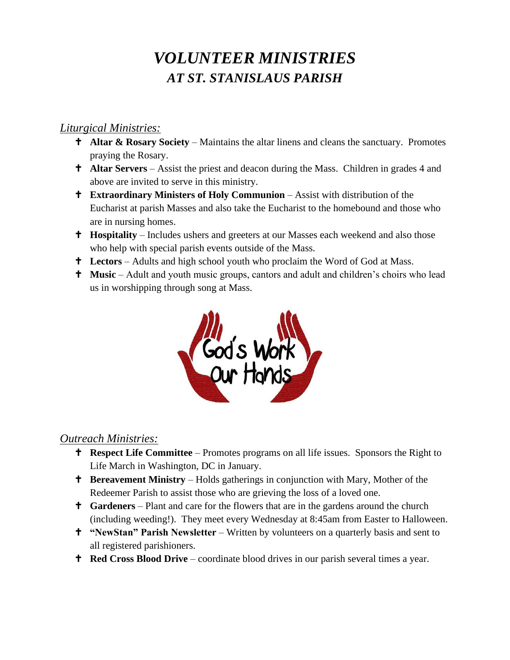# *VOLUNTEER MINISTRIES AT ST. STANISLAUS PARISH*

#### *Liturgical Ministries:*

- **Altar & Rosary Society** Maintains the altar linens and cleans the sanctuary. Promotes praying the Rosary.
- **†** Altar Servers Assist the priest and deacon during the Mass. Children in grades 4 and above are invited to serve in this ministry.
- **Extraordinary Ministers of Holy Communion** Assist with distribution of the Eucharist at parish Masses and also take the Eucharist to the homebound and those who are in nursing homes.
- **Hospitality** Includes ushers and greeters at our Masses each weekend and also those who help with special parish events outside of the Mass.
- **Lectors** Adults and high school youth who proclaim the Word of God at Mass.
- **Music** Adult and youth music groups, cantors and adult and children's choirs who lead us in worshipping through song at Mass.



#### *Outreach Ministries:*

- **Respect Life Committee** Promotes programs on all life issues. Sponsors the Right to Life March in Washington, DC in January.
- **t** Bereavement Ministry Holds gatherings in conjunction with Mary, Mother of the Redeemer Parish to assist those who are grieving the loss of a loved one.
- **Gardeners** Plant and care for the flowers that are in the gardens around the church (including weeding!). They meet every Wednesday at 8:45am from Easter to Halloween.
- **"NewStan" Parish Newsletter** Written by volunteers on a quarterly basis and sent to all registered parishioners.
- **Red Cross Blood Drive** coordinate blood drives in our parish several times a year.